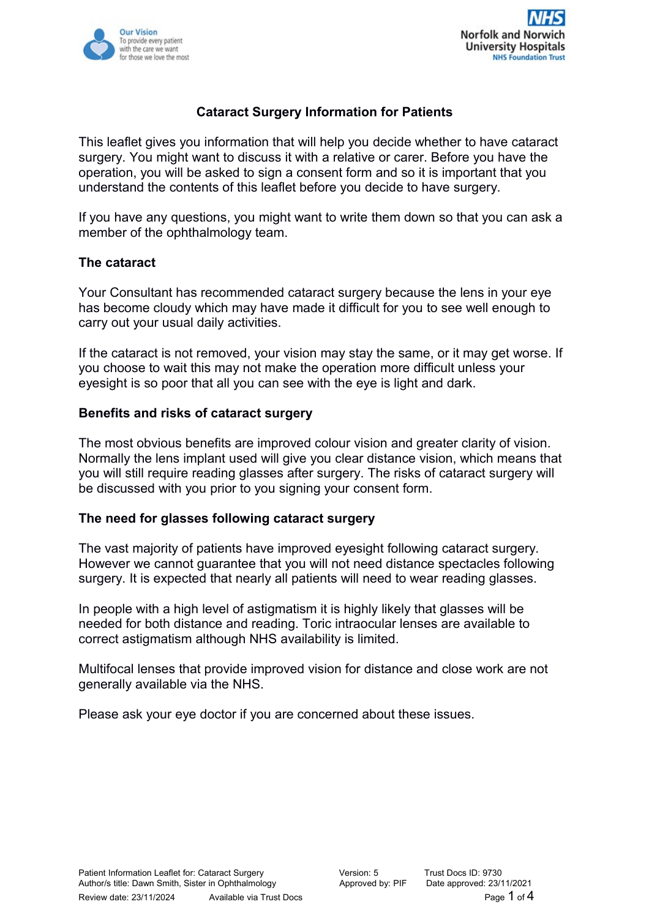



# **Cataract Surgery Information for Patients**

This leaflet gives you information that will help you decide whether to have cataract surgery. You might want to discuss it with a relative or carer. Before you have the operation, you will be asked to sign a consent form and so it is important that you understand the contents of this leaflet before you decide to have surgery.

If you have any questions, you might want to write them down so that you can ask a member of the ophthalmology team.

### **The cataract**

Your Consultant has recommended cataract surgery because the lens in your eye has become cloudy which may have made it difficult for you to see well enough to carry out your usual daily activities.

If the cataract is not removed, your vision may stay the same, or it may get worse. If you choose to wait this may not make the operation more difficult unless your eyesight is so poor that all you can see with the eye is light and dark.

#### **Benefits and risks of cataract surgery**

The most obvious benefits are improved colour vision and greater clarity of vision. Normally the lens implant used will give you clear distance vision, which means that you will still require reading glasses after surgery. The risks of cataract surgery will be discussed with you prior to you signing your consent form.

#### **The need for glasses following cataract surgery**

The vast majority of patients have improved eyesight following cataract surgery. However we cannot guarantee that you will not need distance spectacles following surgery. It is expected that nearly all patients will need to wear reading glasses.

In people with a high level of astigmatism it is highly likely that glasses will be needed for both distance and reading. Toric intraocular lenses are available to correct astigmatism although NHS availability is limited.

Multifocal lenses that provide improved vision for distance and close work are not generally available via the NHS.

Please ask your eye doctor if you are concerned about these issues.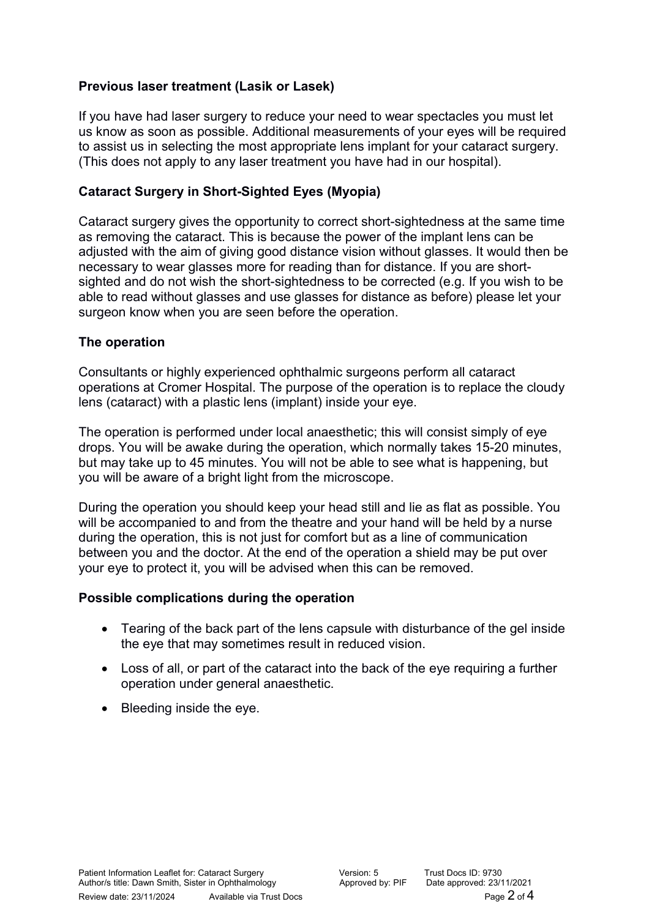# **Previous laser treatment (Lasik or Lasek)**

If you have had laser surgery to reduce your need to wear spectacles you must let us know as soon as possible. Additional measurements of your eyes will be required to assist us in selecting the most appropriate lens implant for your cataract surgery. (This does not apply to any laser treatment you have had in our hospital).

# **Cataract Surgery in Short-Sighted Eyes (Myopia)**

Cataract surgery gives the opportunity to correct short-sightedness at the same time as removing the cataract. This is because the power of the implant lens can be adjusted with the aim of giving good distance vision without glasses. It would then be necessary to wear glasses more for reading than for distance. If you are shortsighted and do not wish the short-sightedness to be corrected (e.g. If you wish to be able to read without glasses and use glasses for distance as before) please let your surgeon know when you are seen before the operation.

# **The operation**

Consultants or highly experienced ophthalmic surgeons perform all cataract operations at Cromer Hospital. The purpose of the operation is to replace the cloudy lens (cataract) with a plastic lens (implant) inside your eye.

The operation is performed under local anaesthetic; this will consist simply of eye drops. You will be awake during the operation, which normally takes 15-20 minutes, but may take up to 45 minutes. You will not be able to see what is happening, but you will be aware of a bright light from the microscope.

During the operation you should keep your head still and lie as flat as possible. You will be accompanied to and from the theatre and your hand will be held by a nurse during the operation, this is not just for comfort but as a line of communication between you and the doctor. At the end of the operation a shield may be put over your eye to protect it, you will be advised when this can be removed.

# **Possible complications during the operation**

- Tearing of the back part of the lens capsule with disturbance of the gel inside the eye that may sometimes result in reduced vision.
- Loss of all, or part of the cataract into the back of the eye requiring a further operation under general anaesthetic.
- Bleeding inside the eye.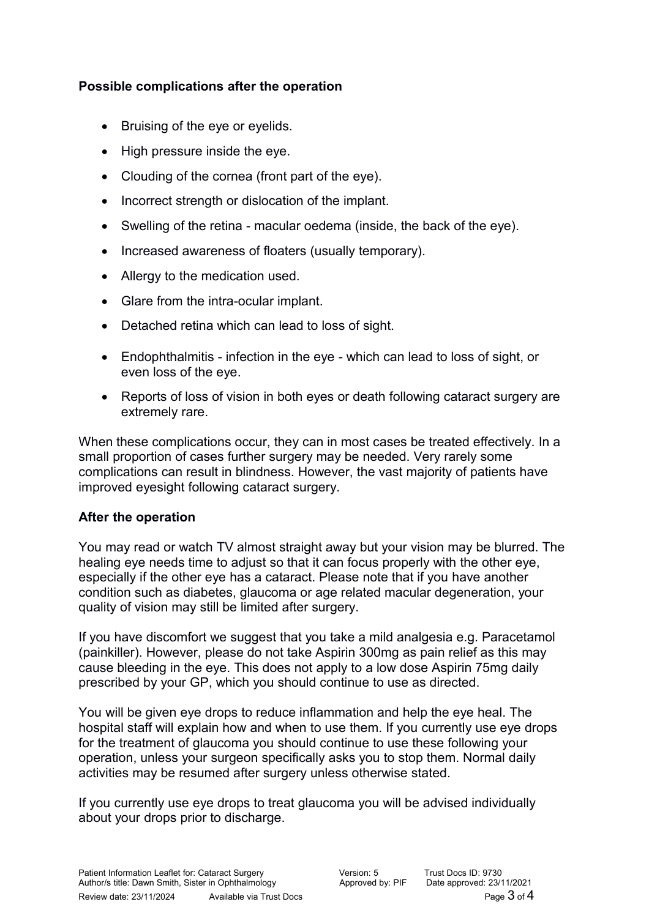# **Possible complications after the operation**

- Bruising of the eye or eyelids.
- High pressure inside the eye.
- Clouding of the cornea (front part of the eye).
- Incorrect strength or dislocation of the implant.
- Swelling of the retina macular oedema (inside, the back of the eye).
- Increased awareness of floaters (usually temporary).
- Allergy to the medication used.
- Glare from the intra-ocular implant.
- Detached retina which can lead to loss of sight.
- Endophthalmitis infection in the eye which can lead to loss of sight, or even loss of the eye.
- Reports of loss of vision in both eyes or death following cataract surgery are extremely rare.

When these complications occur, they can in most cases be treated effectively. In a small proportion of cases further surgery may be needed. Very rarely some complications can result in blindness. However, the vast majority of patients have improved eyesight following cataract surgery.

# **After the operation**

You may read or watch TV almost straight away but your vision may be blurred. The healing eye needs time to adjust so that it can focus properly with the other eye, especially if the other eye has a cataract. Please note that if you have another condition such as diabetes, glaucoma or age related macular degeneration, your quality of vision may still be limited after surgery.

If you have discomfort we suggest that you take a mild analgesia e.g. Paracetamol (painkiller). However, please do not take Aspirin 300mg as pain relief as this may cause bleeding in the eye. This does not apply to a low dose Aspirin 75mg daily prescribed by your GP, which you should continue to use as directed.

You will be given eye drops to reduce inflammation and help the eye heal. The hospital staff will explain how and when to use them. If you currently use eye drops for the treatment of glaucoma you should continue to use these following your operation, unless your surgeon specifically asks you to stop them. Normal daily activities may be resumed after surgery unless otherwise stated.

If you currently use eye drops to treat glaucoma you will be advised individually about your drops prior to discharge.